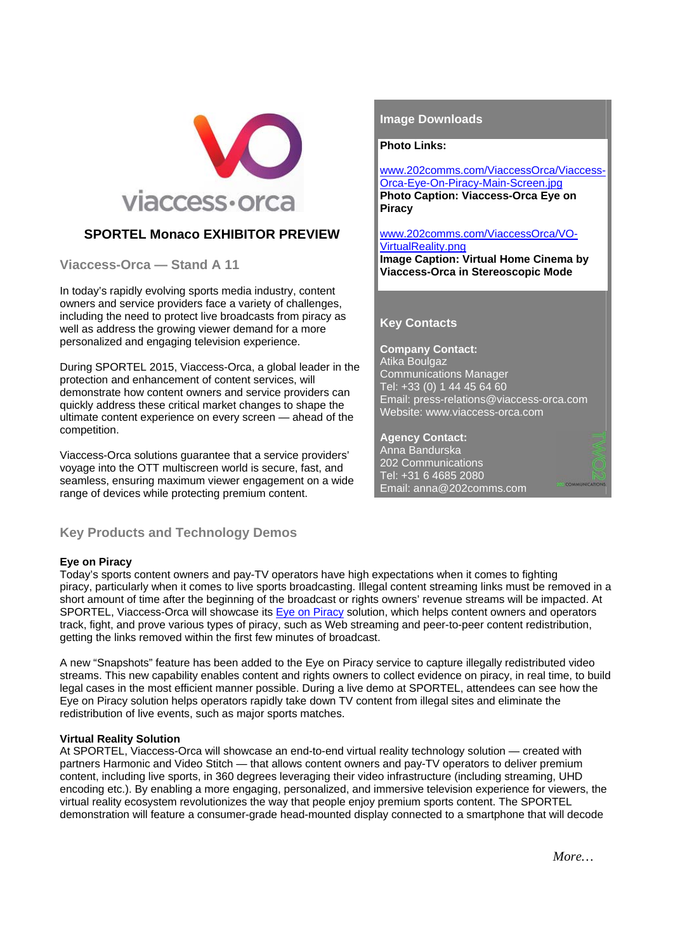

# **SPORTEL Monaco EXHIBITOR PREVIEW**

**Viaccess-Orca — Stand A 11** 

In today's rapidly evolving sports media industry, content owners and service providers face a variety of challenges, including the need to protect live broadcasts from piracy as well as address the growing viewer demand for a more personalized and engaging television experience.

During SPORTEL 2015, Viaccess-Orca, a global leader in the protection and enhancement of content services, will demonstrate how content owners and service providers can quickly address these critical market changes to shape the ultimate content experience on every screen — ahead of the competition.

Viaccess-Orca solutions guarantee that a service providers' voyage into the OTT multiscreen world is secure, fast, and seamless, ensuring maximum viewer engagement on a wide range of devices while protecting premium content.

# **Key Products and Technology Demos**

### **Eye on Piracy**

Today's sports content owners and pay-TV operators have high expectations when it comes to fighting piracy, particularly when it comes to live sports broadcasting. Illegal content streaming links must be removed in a short amount of time after the beginning of the broadcast or rights owners' revenue streams will be impacted. At SPORTEL, Viaccess-Orca will showcase its Eye on Piracy solution, which helps content owners and operators track, fight, and prove various types of piracy, such as Web streaming and peer-to-peer content redistribution, getting the links removed within the first few minutes of broadcast.

A new "Snapshots" feature has been added to the Eye on Piracy service to capture illegally redistributed video streams. This new capability enables content and rights owners to collect evidence on piracy, in real time, to build legal cases in the most efficient manner possible. During a live demo at SPORTEL, attendees can see how the Eye on Piracy solution helps operators rapidly take down TV content from illegal sites and eliminate the redistribution of live events, such as major sports matches.

### **Virtual Reality Solution**

At SPORTEL, Viaccess-Orca will showcase an end-to-end virtual reality technology solution — created with partners Harmonic and Video Stitch — that allows content owners and pay-TV operators to deliver premium content, including live sports, in 360 degrees leveraging their video infrastructure (including streaming, UHD encoding etc.). By enabling a more engaging, personalized, and immersive television experience for viewers, the virtual reality ecosystem revolutionizes the way that people enjoy premium sports content. The SPORTEL demonstration will feature a consumer-grade head-mounted display connected to a smartphone that will decode

### **Image Downloads**

#### **Photo Links:**

www.202comms.com/ViaccessOrca/Viaccess-Orca-Eye-On-Piracy-Main-Screen.jpg **Photo Caption: Viaccess-Orca Eye on Piracy** 

# www.202comms.com/ViaccessOrca/VO-VirtualReality.png

**Image Caption: Virtual Home Cinema by Viaccess-Orca in Stereoscopic Mode** 

## **Key Contacts**

**Company Contact:**  Atika Boulgaz Communications Manager Tel: +33 (0) 1 44 45 64 60 Email: press-relations@viaccess-orca.com Website: www.viaccess-orca.com

**Agency Contact:**  Anna Bandurska 202 Communications Tel: +31 6 4685 2080 Email: anna@202comms.com